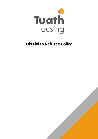

# **Ukrainian Refugee Policy**

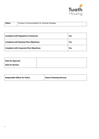

**Policy:** Provision of Accommodation for Ukrainian Refugees

| <b>Compliant with Regulatory Framework:</b>      | Yes |
|--------------------------------------------------|-----|
| <b>Compliant with Business Plan Objectives:</b>  | Yes |
| <b>Compliant with Corporate Plan Objectives:</b> | Yes |

| <b>Date for Approval:</b> |  |
|---------------------------|--|
| <b>Date for Review:</b>   |  |

| <b>Responsible Officer for Policy:</b> | <b>Head of Housing Services</b> |
|----------------------------------------|---------------------------------|
|                                        |                                 |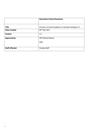|                       | <b>Document Control Summary</b>                      |
|-----------------------|------------------------------------------------------|
| <b>Title</b>          | Provision of Accommodation for Ukrainian Refugees V3 |
| <b>Date Created</b>   | 09th May 2022                                        |
| <b>Version</b>        | 1.0                                                  |
| <b>Approved by</b>    | SMT/Director/Board:                                  |
|                       | Date:                                                |
|                       |                                                      |
| <b>Staff affected</b> | <b>Housing Staff</b>                                 |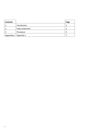| <b>Contents</b> |                         | Page |
|-----------------|-------------------------|------|
|                 | Introduction            | 5    |
|                 | <b>Policy Statement</b> | 5    |
| 4               | Procedure               | 5    |
| Appendices      | Appendix 1              |      |
|                 |                         |      |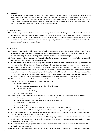### **1 Introduction**

As a direct result from the recent outbreak of War within the Ukraine, Tuath Housing is committed to playing its part in assisting with the housing of Ukrainian refugees under the parameters developed via the Department of Housing, Departments of Justice and Foreign Affairs and the Red Cross. Tuath recognises that to help meet this demand and to support Ukrainian refugees that a level of flexibility is required within our existing policies to make available existing bed spaces within our current housing stock available to those in need.

### **2 Policy Statement**

- 2.1 Tuath Housing recognises the humanitarian crisis facing Ukrainian nationals. This policy aims to outline the measures and procedures that Tuath can take to assist with the Housing of Ukrainian refugees within our existing Housing Stock.
- 2.2 Tuath Housing is committed to working with external agencies such as the Red Cross to ensure the effective housing of Ukrainian nationals is achieved in line with the emergency legislative measures that have been introduced by the Departments of Justice and Foreign Affairs.

#### **3 Procedure**

- 3.1 To assist with the Housing of Ukrainian refugees Tuath will permit existing Tuath Households who hold a Tuath Tenancy agreement and are under the remit of the Residential Tenancies Board permission to utilise additional and vacant bedspaces for the purposes of providing shelter and accommodation to Ukrainian refugees.
- 3.2 This procedure outlines the steps that Tuath will take after a resident has registered with the Red Cross to provide accommodation via the Red Cross pledging program.
- 3.3 A Tuath resident must contact their Housing Services Coordinator and request permission for utilising their home for the purpose of providing refuge to a Ukrainian refugee. This contact can be made in writing, via email or telephone.
- 3.4 All requests that are received from residents requesting to provide accommodation to a Ukrainian refugee will be logged via a customer care request on the Affinity on the resident's customer account record. The Tuath staff member logging the request will categorise as this as a Resident Care call, with a priority of urgent. The description of the customer care request should begin with: *Request for the Provision of Accommodation for Ukrainian Refugees*. This will allow for reporting and will give the HSCO 48hrs to contact the resident to advise of the next steps.
- 3.5 Prior to making contact, the HSCO will conduct a desktop review of the resident's property and tenancy account on Affinity, the purpose of this review is to establish the following:
	- Number of Bedrooms
	- Number of current residents via review of previous CIS forms
	- ASB and Rent history
	- Review unit inspection history
	- Boiler servicing record
- 3.6 To approve a resident permission to accommodate a Ukrainian refugee they must meet the following criteria:
	- The refugee must have their own private bedroom, and not a shared space
	- The resident must not put them selves in an overcrowding situation
	- There must be no history of ASB
	- Clear rent account
	- The property must be compliant with all safety certs such as Gas Boiler Servicing.
- 3.7 At point of contact, the HSCO will identify if all terms listed in 3.6 are met, if not the application will be refused.
- 3.8 If via the desktop survey and via conversations with the resident, they are deemed as suitable to accommodate a Ukrainian refugee, a visual unit inspection will be agreed.
- 3.9 The HSCO will agree a unit inspection to ensure that the property has been kept in a satisfactory condition and that genuine room and bed spaces are available. This inspection will be logged via Tuath's inspections application and saved to the property record on Affinity.
- 3.10 If under inspection it is highlighted that the space is not satisfactory the tenant will be advised at this point that their application has been refused.
- 3.11 If the property is suitable then permission will be granted by the HSCO to proceed with the signing of Appendix 1,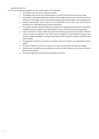Special Consent Form.

- 3.12 Prior to the signing of appendix one the resident agrees to the following:
	- The resident will not be overcrowded at any point
	- The Refugees will only ever be considered guests or visitors and will not have any tenant rights
	- The resident is fully responsible for the conduct of the refuges and any breach of tenancy due to the behaviour of the refugee could result in action being taken against the resident's tenancy agreement.
	- Anyone accommodated must be done so via a nomination from the Red Cross, proof must be provided to the Tuath before special consent will be given.
	- The resident must be vetted by the Red Cross in advance of a refugee being permitted to reside within a dwelling, proof of acceptance must be provided to Tuath in advance of consent being granted.
	- Consent will last for 3 months. Within this period Tuath will have permission on provision of sufficient notice to inspect the dwelling at any time to ensure suitability of accommodation remains. If the property condition dilapidates, existing tenancy clauses will be utilised for remedy and the Red Cross will be notified.
	- The agreement will last for a duration of 3 months at the end of which a new agreement must be signed.
	- The Tuath resident at no point can charge rent or any levy of any kind to the Ukrainian refugee.
	- Tuath reserves the right to remove consent at any time and will be done so via a means of a formal written communication.
	- The tenancy agreement supersedes this Appendix 1at all times.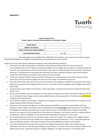**Appendix 1**



## **Special Consent Form Tenant request to provide accommodation for Ukrainian refugee**

| <b>Tenant Name</b>              |          |
|---------------------------------|----------|
| <b>Address of Property</b>      |          |
| Name of Person (s) Accommodated |          |
| <b>Local Authority Consent</b>  | Yes / No |

I, the undersigned tenant of (ADD IN FULL ADDRESS) ("the Property"), seek consent from Tuath Housing to provide accommodation to a refugee(s) considering the current humanitarian crisis in Ukraine.

I confirm that I have read and fully understand and agree to each of the following conditions;

- Permission to provide accommodation is granted by Tuath Housing on the grounds that it will not lead to an overcrowding situation in the Property. Any individual refugee (or two refugees who constitute a co-habiting couple) will have their own private bedroom and will not be asked to share with an existing member of the household. Furthermore, permission is solely granted on the grounds that the property has been inspected in advance and has been deemed suitable by the Irish Red Cross and proof of this process has been provided.
- Permission is granted strictly on the grounds that the refugees are considered guests/visitors/mere licensees of the tenant and on the basis that the refugees will never accrue any rights or entitlements qua tenant.
- The tenant will be fully responsible for the conduct and actions of the refugee(s) and liable for any breach of the tenancy agreement committed by the refugee(s) which may occur. Any breach of tenant obligations by the refugees will result in [insert AHB]
- issuing warnings and/or Notices of Termination, where appropriate, and enforcement thereof through the RTB and the District Court.
- Anyone accommodated under this agreement must be a genuine refugees and must be nominated through the Irish Red Cross. Full details of each refugee must be made available directly to the Housing Officer of Tuath Housing (HSCO Name) including proof of identification.
- Any Tenant(s) wishing to accommodate a refugee must be registered and vetted by the Irish Red Cross in advance of any refugee being permitted to enter the property.
- Permission is time-bound and subject to 3 monthly reviews by the HSCO to ensure the accommodation and living conditions remain suitable. The property may be inspected by the HSCO **at any time** during the period of occupation by the Refugee(s) irrespective of whether there are grounds for concern for the welfare of any individual. Reasonable notice for any inspection will be provided save in the event of an emergency. Any refusal to permit an inspection will be considered as a breach of obligations by the Tenant with the attendant consequences for the Tenant.
- The Tenant(s) agrees that they will not, and have no right, to levy any charge or rent relating to any refugee staying in the Property nor will the Tenant be entitled to any compensatory payment whatsoever. In turn, Tuath Housing will not apply any additional charges to the Tenant arising from there being additional occupants in the Property.
- The Tenant understands and accepts that consent for the refugee to temporarily reside in the property may be withdrawn at any time by Tuath Housing including, but not limited to, as a result of any concern arising in relation to the welfare of the Tenant, authorised occupants, refugees, neighbours, the wider community or the Property itself.